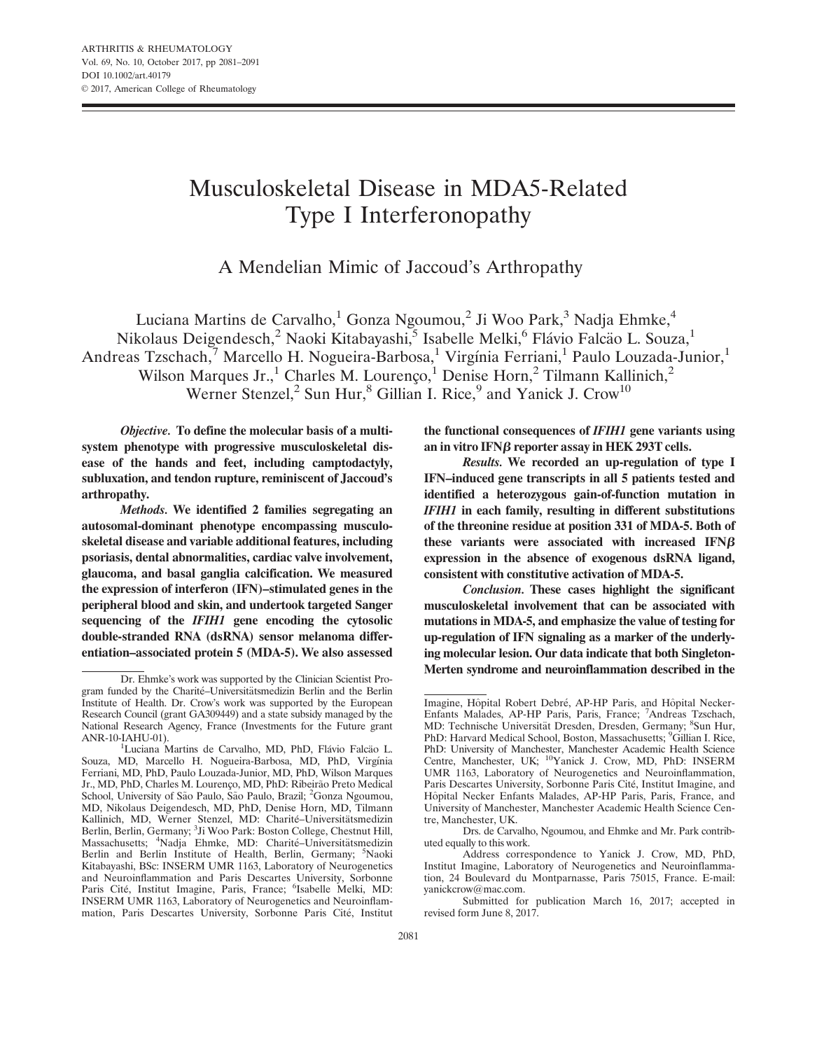# Musculoskeletal Disease in MDA5-Related Type I Interferonopathy

## A Mendelian Mimic of Jaccoud's Arthropathy

Luciana Martins de Carvalho,<sup>1</sup> Gonza Ngoumou,<sup>2</sup> Ji Woo Park,<sup>3</sup> Nadja Ehmke,<sup>4</sup> Nikolaus Deigendesch,<sup>2</sup> Naoki Kitabayashi,<sup>5</sup> Isabelle Melki,<sup>6</sup> Flávio Falcäo L. Souza,<sup>1</sup>

Andreas Tzschach, *Marcello H. Nogueira-Barbosa*, <sup>1</sup> Virgínia Ferriani, <sup>1</sup> Paulo Louzada-Junior, <sup>1</sup>

Wilson Marques Jr.,<sup>1</sup> Charles M. Lourenço,<sup>1</sup> Denise Horn,<sup>2</sup> Tilmann Kallinich,<sup>2</sup>

Werner Stenzel,<sup>2</sup> Sun Hur,<sup>8</sup> Gillian I. Rice,<sup>9</sup> and Yanick J. Crow<sup>10</sup>

Objective. To define the molecular basis of a multisystem phenotype with progressive musculoskeletal disease of the hands and feet, including camptodactyly, subluxation, and tendon rupture, reminiscent of Jaccoud's arthropathy.

Methods. We identified 2 families segregating an autosomal-dominant phenotype encompassing musculoskeletal disease and variable additional features, including psoriasis, dental abnormalities, cardiac valve involvement, glaucoma, and basal ganglia calcification. We measured the expression of interferon (IFN)–stimulated genes in the peripheral blood and skin, and undertook targeted Sanger sequencing of the IFIH1 gene encoding the cytosolic double-stranded RNA (dsRNA) sensor melanoma differentiation–associated protein 5 (MDA-5). We also assessed the functional consequences of IFIH1 gene variants using an in vitro IFN $\beta$  reporter assay in HEK 293T cells.

Results. We recorded an up-regulation of type I IFN–induced gene transcripts in all 5 patients tested and identified a heterozygous gain-of-function mutation in IFIH1 in each family, resulting in different substitutions of the threonine residue at position 331 of MDA-5. Both of these variants were associated with increased  $IFN\beta$ expression in the absence of exogenous dsRNA ligand, consistent with constitutive activation of MDA-5.

Conclusion. These cases highlight the significant musculoskeletal involvement that can be associated with mutations in MDA-5, and emphasize the value of testing for up-regulation of IFN signaling as a marker of the underlying molecular lesion. Our data indicate that both Singleton-Merten syndrome and neuroinflammation described in the Dr. Ehmke's work was supported by the Clinician Scientist Pro-

gram funded by the Charité-Universitätsmedizin Berlin and the Berlin Institute of Health. Dr. Crow's work was supported by the European Research Council (grant GA309449) and a state subsidy managed by the National Research Agency, France (Investments for the Future grant ANR-10-IAHU-01). <sup>1</sup>

Luciana Martins de Carvalho, MD, PhD, Flávio Falcão L. Souza, MD, Marcello H. Nogueira-Barbosa, MD, PhD, Virgínia Ferriani, MD, PhD, Paulo Louzada-Junior, MD, PhD, Wilson Marques Jr., MD, PhD, Charles M. Lourenço, MD, PhD: Ribeirão Preto Medical School, University of São Paulo, São Paulo, Brazil; <sup>2</sup>Gonza Ngoumou, MD, Nikolaus Deigendesch, MD, PhD, Denise Horn, MD, Tilmann Kallinich, MD, Werner Stenzel, MD: Charité–Universitätsmedizin<br>Berlin, Berlin, Germany; <sup>3</sup>Ji Woo Park: Boston College, Chestnut Hill, Massachusetts; <sup>4</sup>Nadja Ehmke, MD: Charité-Universitätsmedizin Berlin and Berlin Institute of Health, Berlin, Germany; <sup>5</sup>Naoki Kitabayashi, BSc: INSERM UMR 1163, Laboratory of Neurogenetics and Neuroinflammation and Paris Descartes University, Sorbonne Paris Cité, Institut Imagine, Paris, France; <sup>6</sup>Isabelle Melki, MD: INSERM UMR 1163, Laboratory of Neurogenetics and Neuroinflammation, Paris Descartes University, Sorbonne Paris Cité, Institut

Imagine, Hôpital Robert Debré, AP-HP Paris, and Hôpital Necker-Enfants Malades, AP-HP Paris, Paris, France; <sup>7</sup> Andreas Tzschach, MD: Technische Universität Dresden, Dresden, Germany; <sup>8</sup>Sun Hur, PhD: Harvard Medical School, Boston, Massachusetts; <sup>9</sup>Gillian I. Rice, PhD: University of Manchester, Manchester Academic Health Science Centre, Manchester, UK; <sup>10</sup>Yanick J. Crow, MD, PhD: INSERM UMR 1163, Laboratory of Neurogenetics and Neuroinflammation, Paris Descartes University, Sorbonne Paris Cité, Institut Imagine, and Hôpital Necker Enfants Malades, AP-HP Paris, Paris, France, and University of Manchester, Manchester Academic Health Science Centre, Manchester, UK.

Drs. de Carvalho, Ngoumou, and Ehmke and Mr. Park contributed equally to this work.

Address correspondence to Yanick J. Crow, MD, PhD, Institut Imagine, Laboratory of Neurogenetics and Neuroinflammation, 24 Boulevard du Montparnasse, Paris 75015, France. E-mail: yanickcrow@mac.com.

Submitted for publication March 16, 2017; accepted in revised form June 8, 2017.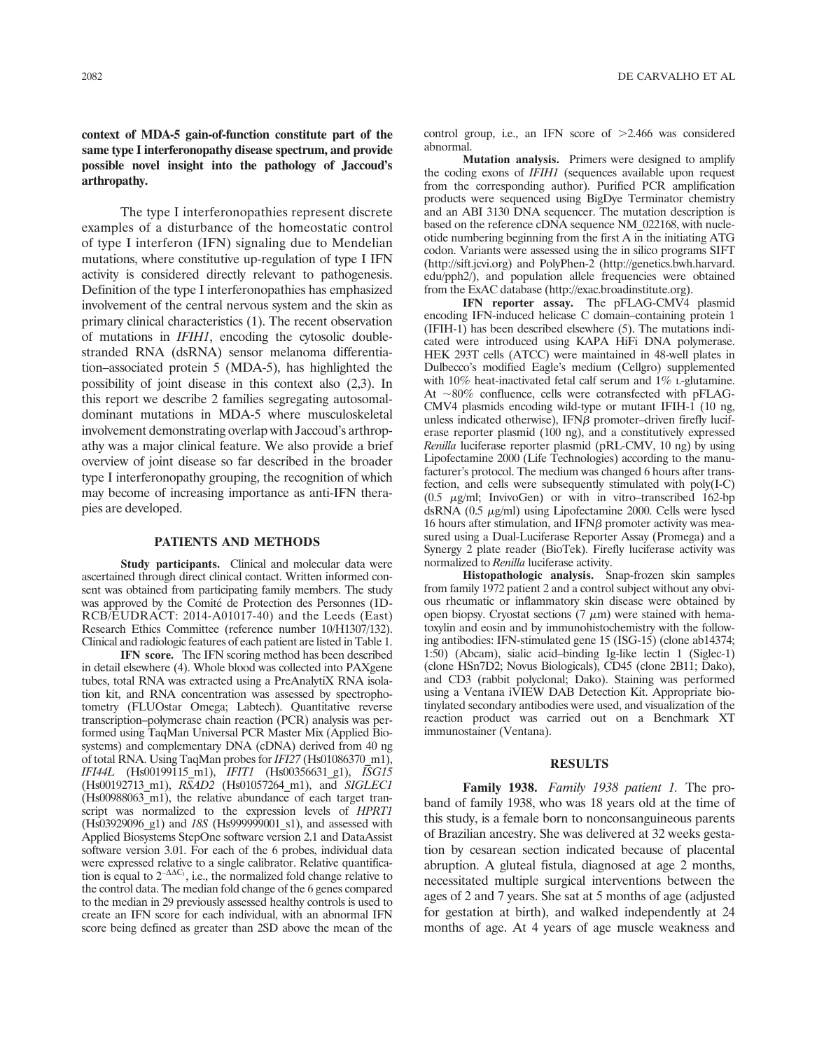### context of MDA-5 gain-of-function constitute part of the same type I interferonopathy disease spectrum, and provide possible novel insight into the pathology of Jaccoud's arthropathy.

The type I interferonopathies represent discrete examples of a disturbance of the homeostatic control of type I interferon (IFN) signaling due to Mendelian mutations, where constitutive up-regulation of type I IFN activity is considered directly relevant to pathogenesis. Definition of the type I interferonopathies has emphasized involvement of the central nervous system and the skin as primary clinical characteristics (1). The recent observation of mutations in IFIH1, encoding the cytosolic doublestranded RNA (dsRNA) sensor melanoma differentiation–associated protein 5 (MDA-5), has highlighted the possibility of joint disease in this context also (2,3). In this report we describe 2 families segregating autosomaldominant mutations in MDA-5 where musculoskeletal involvement demonstrating overlap with Jaccoud's arthropathy was a major clinical feature. We also provide a brief overview of joint disease so far described in the broader type I interferonopathy grouping, the recognition of which may become of increasing importance as anti-IFN therapies are developed.

#### PATIENTS AND METHODS

Study participants. Clinical and molecular data were ascertained through direct clinical contact. Written informed consent was obtained from participating family members. The study was approved by the Comité de Protection des Personnes (ID-RCB/EUDRACT: 2014-A01017-40) and the Leeds (East) Research Ethics Committee (reference number 10/H1307/132). Clinical and radiologic features of each patient are listed in Table 1.

IFN score. The IFN scoring method has been described in detail elsewhere (4). Whole blood was collected into PAXgene tubes, total RNA was extracted using a PreAnalytiX RNA isolation kit, and RNA concentration was assessed by spectrophotometry (FLUOstar Omega; Labtech). Quantitative reverse transcription–polymerase chain reaction (PCR) analysis was performed using TaqMan Universal PCR Master Mix (Applied Biosystems) and complementary DNA (cDNA) derived from 40 ng of total RNA. Using TaqMan probes for IFI27 (Hs01086370\_m1), IFI44L (Hs00199115\_m1), IFIT1 (Hs00356631\_g1), ISG15 (Hs00192713\_m1), RSAD2 (Hs01057264\_m1), and SIGLEC1 (Hs00988063\_m1), the relative abundance of each target transcript was normalized to the expression levels of HPRT1 (Hs03929096\_g1) and 18S (Hs999999001\_s1), and assessed with Applied Biosystems StepOne software version 2.1 and DataAssist software version 3.01. For each of the 6 probes, individual data were expressed relative to a single calibrator. Relative quantification is equal to  $2^{-\Delta\Delta C_t}$ , i.e., the normalized fold change relative to the control data. The median fold change of the 6 genes compared to the median in 29 previously assessed healthy controls is used to create an IFN score for each individual, with an abnormal IFN score being defined as greater than 2SD above the mean of the

control group, i.e., an IFN score of  $>2.466$  was considered abnormal.

Mutation analysis. Primers were designed to amplify the coding exons of IFIH1 (sequences available upon request from the corresponding author). Purified PCR amplification products were sequenced using BigDye Terminator chemistry and an ABI 3130 DNA sequencer. The mutation description is based on the reference cDNA sequence NM\_022168, with nucleotide numbering beginning from the first A in the initiating ATG codon. Variants were assessed using the in silico programs SIFT [\(http://sift.jcvi.org\)](http://sift.jcvi.org) and PolyPhen-2 [\(http://genetics.bwh.harvard.](http://genetics.bwh.harvard.edu/pph2) [edu/pph2/](http://genetics.bwh.harvard.edu/pph2)), and population allele frequencies were obtained from the ExAC database [\(http://exac.broadinstitute.org](http://exac.broadinstitute.org)).

IFN reporter assay. The pFLAG-CMV4 plasmid encoding IFN-induced helicase C domain–containing protein 1 (IFIH-1) has been described elsewhere (5). The mutations indicated were introduced using KAPA HiFi DNA polymerase. HEK 293T cells (ATCC) were maintained in 48-well plates in Dulbecco's modified Eagle's medium (Cellgro) supplemented with 10% heat-inactivated fetal calf serum and 1% *L*-glutamine. At  $\sim80\%$  confluence, cells were cotransfected with pFLAG-CMV4 plasmids encoding wild-type or mutant IFIH-1 (10 ng, unless indicated otherwise), IFN $\beta$  promoter–driven firefly luciferase reporter plasmid (100 ng), and a constitutively expressed Renilla luciferase reporter plasmid (pRL-CMV, 10 ng) by using Lipofectamine 2000 (Life Technologies) according to the manufacturer's protocol. The medium was changed 6 hours after transfection, and cells were subsequently stimulated with poly(I-C) (0.5  $\mu$ g/ml; InvivoGen) or with in vitro–transcribed 162-bp dsRNA  $(0.5 \mu g/ml)$  using Lipofectamine 2000. Cells were lysed 16 hours after stimulation, and  $IFN\beta$  promoter activity was measured using a Dual-Luciferase Reporter Assay (Promega) and a Synergy 2 plate reader (BioTek). Firefly luciferase activity was normalized to Renilla luciferase activity.

Histopathologic analysis. Snap-frozen skin samples from family 1972 patient 2 and a control subject without any obvious rheumatic or inflammatory skin disease were obtained by open biopsy. Cryostat sections (7  $\mu$ m) were stained with hematoxylin and eosin and by immunohistochemistry with the following antibodies: IFN-stimulated gene 15 (ISG-15) (clone ab14374; 1:50) (Abcam), sialic acid–binding Ig-like lectin 1 (Siglec-1) (clone HSn7D2; Novus Biologicals), CD45 (clone 2B11; Dako), and CD3 (rabbit polyclonal; Dako). Staining was performed using a Ventana iVIEW DAB Detection Kit. Appropriate biotinylated secondary antibodies were used, and visualization of the reaction product was carried out on a Benchmark XT immunostainer (Ventana).

#### **RESULTS**

Family 1938. Family 1938 patient 1. The proband of family 1938, who was 18 years old at the time of this study, is a female born to nonconsanguineous parents of Brazilian ancestry. She was delivered at 32 weeks gestation by cesarean section indicated because of placental abruption. A gluteal fistula, diagnosed at age 2 months, necessitated multiple surgical interventions between the ages of 2 and 7 years. She sat at 5 months of age (adjusted for gestation at birth), and walked independently at 24 months of age. At 4 years of age muscle weakness and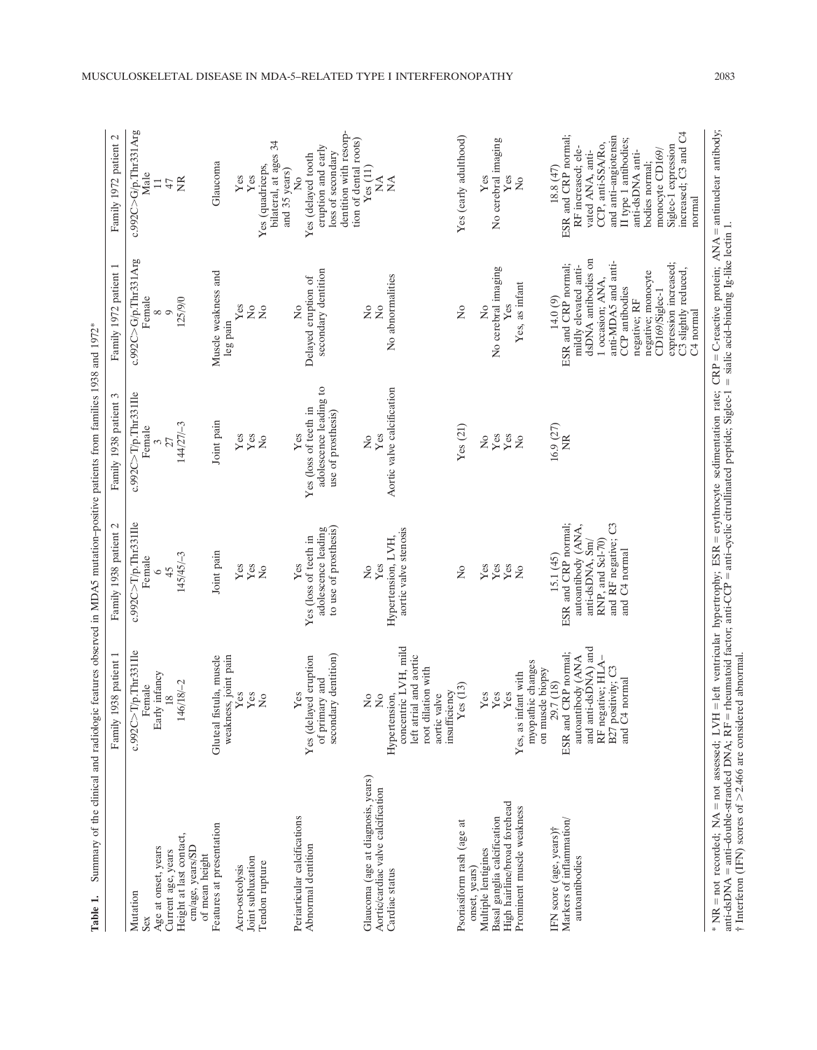| Table 1.                                                                                                                                                                |                                                                                                                                                                                     |                                                                                                                                       | Summary of the clinical and radiologic features observed in MDA5 mutation-positive patients from families 1938 and 1972* |                                                                                                                                                                                                                                                                   |                                                                                                                                                                                                                                                                    |
|-------------------------------------------------------------------------------------------------------------------------------------------------------------------------|-------------------------------------------------------------------------------------------------------------------------------------------------------------------------------------|---------------------------------------------------------------------------------------------------------------------------------------|--------------------------------------------------------------------------------------------------------------------------|-------------------------------------------------------------------------------------------------------------------------------------------------------------------------------------------------------------------------------------------------------------------|--------------------------------------------------------------------------------------------------------------------------------------------------------------------------------------------------------------------------------------------------------------------|
|                                                                                                                                                                         | Family 1938 patient 1                                                                                                                                                               | Family 1938 patient 2                                                                                                                 | Family 1938 patient 3                                                                                                    | Family 1972 patient 1                                                                                                                                                                                                                                             | Family 1972 patient 2                                                                                                                                                                                                                                              |
| Mutation<br>Sex                                                                                                                                                         | c.992C>T/p.Thr331Ile<br>Female                                                                                                                                                      | c.992C>T/p.Thr331Ile<br>Female                                                                                                        | c.992C>T/p.Thr331Ile<br>Female                                                                                           | c.992C>G/p.Thr331Arg<br>Female                                                                                                                                                                                                                                    | c.992C>G/p.Thr331Arg<br>Male                                                                                                                                                                                                                                       |
| Age at onset, years                                                                                                                                                     | Early infancy $18\,$                                                                                                                                                                | 45                                                                                                                                    | 27                                                                                                                       | ${}^{\circ}$<br>$\circ$                                                                                                                                                                                                                                           | $\Xi$<br>$47\,$                                                                                                                                                                                                                                                    |
| Height at last contact,<br>cm/age, years/SD<br>Current age, years<br>of mean height                                                                                     | 146/18/-2                                                                                                                                                                           | $145/45/-3$                                                                                                                           | 144/27/–3                                                                                                                | 125/9/0                                                                                                                                                                                                                                                           | $\widetilde{\Xi}$                                                                                                                                                                                                                                                  |
| Features at presentation                                                                                                                                                | weakness, joint pain<br>Gluteal fistula, muscle                                                                                                                                     | Joint pain                                                                                                                            | Joint pain                                                                                                               | Muscle weakness and<br>leg pain                                                                                                                                                                                                                                   | Glaucoma                                                                                                                                                                                                                                                           |
| Acro-osteolysis                                                                                                                                                         | Yes                                                                                                                                                                                 | Yes                                                                                                                                   | Yes                                                                                                                      | Yes                                                                                                                                                                                                                                                               | Yes                                                                                                                                                                                                                                                                |
| Joint subluxation                                                                                                                                                       | Yes<br>$\rm \stackrel{\circ}{\rm \bf Z}$                                                                                                                                            | ${\rm Yes}$ No                                                                                                                        | ${\rm Yes}$ No                                                                                                           | 2g                                                                                                                                                                                                                                                                | $\mathbf{Yes}$                                                                                                                                                                                                                                                     |
| Tendon rupture                                                                                                                                                          |                                                                                                                                                                                     |                                                                                                                                       |                                                                                                                          |                                                                                                                                                                                                                                                                   | bilateral, at ages 34<br>Yes (quadriceps,<br>and 35 years)                                                                                                                                                                                                         |
| Periarticular calcifications                                                                                                                                            | Yes                                                                                                                                                                                 | Yes                                                                                                                                   | Yes                                                                                                                      | ż                                                                                                                                                                                                                                                                 | $\frac{1}{2}$                                                                                                                                                                                                                                                      |
| Abnormal dentition                                                                                                                                                      | secondary dentition)<br>Yes (delayed eruption<br>of primary and                                                                                                                     | to use of prosthesis)<br>adolescence leading<br>Yes (loss of teeth in                                                                 | adolescence leading to<br>Yes (loss of teeth in<br>use of prosthesis)                                                    | secondary dentition<br>Delayed eruption of                                                                                                                                                                                                                        | dentition with resorp-<br>eruption and early<br>loss of secondary<br>Yes (delayed tooth                                                                                                                                                                            |
|                                                                                                                                                                         | $\mathop{\mathsf{S}}\nolimits$                                                                                                                                                      | $\tilde{z}$                                                                                                                           | ż                                                                                                                        |                                                                                                                                                                                                                                                                   | tion of dental roots)<br>Yes(11)                                                                                                                                                                                                                                   |
| Glaucoma (age at diagnosis, years)<br>Aortic/cardiac valve calcification                                                                                                | $\tilde{z}$                                                                                                                                                                         | Yes                                                                                                                                   | $Y$ es                                                                                                                   | $\tilde{z}$<br>ż                                                                                                                                                                                                                                                  | $\tilde{\geq}$                                                                                                                                                                                                                                                     |
| Cardiac status                                                                                                                                                          | concentric LVH, mild<br>left atrial and aortic<br>root dilation with<br>insufficiency<br>Hypertension,<br>aortic valve                                                              | aortic valve stenosis<br>Hypertension, LVH                                                                                            | Aortic valve calcification                                                                                               | No abnormalities                                                                                                                                                                                                                                                  | $\lessapprox$                                                                                                                                                                                                                                                      |
| Psoriasiform rash (age at<br>onset, years)                                                                                                                              | Yes(13)                                                                                                                                                                             | $\stackrel{\circ}{\mathsf{Z}}$                                                                                                        | Yes(21)                                                                                                                  | $\tilde{z}$                                                                                                                                                                                                                                                       | Yes (early adulthood)                                                                                                                                                                                                                                              |
| Multiple lentigines                                                                                                                                                     | Yes                                                                                                                                                                                 | Yes                                                                                                                                   | $\mathsf{S}^{\circ}$                                                                                                     | ż                                                                                                                                                                                                                                                                 | Yes                                                                                                                                                                                                                                                                |
| Basal ganglia calcification<br>High hairline/broad forehead                                                                                                             | Yes<br>Yes                                                                                                                                                                          | Yes<br>Yes                                                                                                                            | $Y_{cs}$                                                                                                                 | No cerebral imaging<br>Yes                                                                                                                                                                                                                                        | No cerebral imaging<br>Yes                                                                                                                                                                                                                                         |
| Prominent muscle weakness                                                                                                                                               | Yes, as infant with                                                                                                                                                                 | $\overline{R}$                                                                                                                        | $\tilde{z}$                                                                                                              | Yes, as infant                                                                                                                                                                                                                                                    | $\frac{1}{2}$                                                                                                                                                                                                                                                      |
| Markers of inflammation/<br>IFN score (age, years)†<br>autoantibodies                                                                                                   | and anti-dsDNA) and RF negative; $HLA-$<br>ESR and CRP normal;<br>autoantibody (ANA<br>myopathic changes<br>B27 positivity; C3<br>on muscle biopsy<br>normal<br>29.7 (18)<br>and C4 | and RF negative; C3<br>ESR and CRP normal;<br>autoantibody (ANA,<br>anti-dsDNA, Sm/<br>RNP, and Scl-70)<br>and C4 normal<br>15.1 (45) | $16.9~(27)$ NR                                                                                                           | dsDNA antibodies on<br>expression increased;<br>anti-MDAS and anti-<br>ESR and CRP normal;<br>mildly elevated anti-<br>C3 slightly reduced,<br>negative; monocyte<br>1 occasion; ANA,<br>CCP antibodies<br>CD169/Siglec-1<br>14.0(9)<br>negative; RF<br>C4 normal | increased; C3 and C4<br>ESR and CRP normal;<br>and anti-angiotensin<br>II type 1 antibodies;<br>CCP, anti-SSA/Ro,<br>Siglec-1 expression<br>RF increased; ele-<br>monocyte CD169/<br>vated ANA, anti-<br>anti-dsDNA anti-<br>bodies normal;<br>18.8 (47)<br>normal |
| * NR = not recorded; NA = not assessed; LVH = left ventricular hypertrophy; ESR = erythrocyte sedimentation rate; CRP = C-reactive protein; ANA = antinuclear antibody; |                                                                                                                                                                                     |                                                                                                                                       |                                                                                                                          |                                                                                                                                                                                                                                                                   |                                                                                                                                                                                                                                                                    |

anti-dsDNA

† Interferon (IFN) scores of

anti–double-stranded DNA; RF

.2.466 are considered abnormal.

rheumatoid factor; anti-CCP

anti–cyclic citrullinated peptide; Siglec-1

sialic acid–binding Ig-like lectin 1.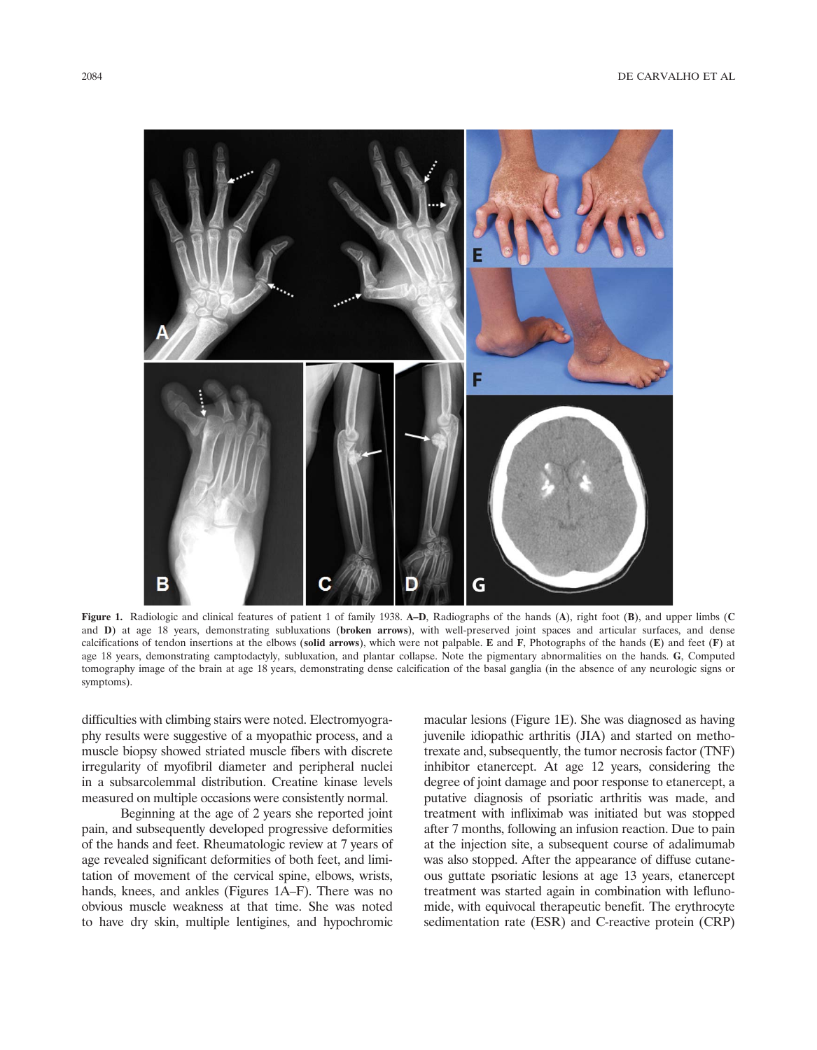

Figure 1. Radiologic and clinical features of patient 1 of family 1938. A–D, Radiographs of the hands (A), right foot (B), and upper limbs (C) and D) at age 18 years, demonstrating subluxations (broken arrows), with well-preserved joint spaces and articular surfaces, and dense calcifications of tendon insertions at the elbows (solid arrows), which were not palpable. E and  $F$ , Photographs of the hands  $(E)$  and feet  $(F)$  at age 18 years, demonstrating camptodactyly, subluxation, and plantar collapse. Note the pigmentary abnormalities on the hands. G, Computed tomography image of the brain at age 18 years, demonstrating dense calcification of the basal ganglia (in the absence of any neurologic signs or symptoms).

difficulties with climbing stairs were noted. Electromyography results were suggestive of a myopathic process, and a muscle biopsy showed striated muscle fibers with discrete irregularity of myofibril diameter and peripheral nuclei in a subsarcolemmal distribution. Creatine kinase levels measured on multiple occasions were consistently normal.

Beginning at the age of 2 years she reported joint pain, and subsequently developed progressive deformities of the hands and feet. Rheumatologic review at 7 years of age revealed significant deformities of both feet, and limitation of movement of the cervical spine, elbows, wrists, hands, knees, and ankles (Figures 1A–F). There was no obvious muscle weakness at that time. She was noted to have dry skin, multiple lentigines, and hypochromic

macular lesions (Figure 1E). She was diagnosed as having juvenile idiopathic arthritis (JIA) and started on methotrexate and, subsequently, the tumor necrosis factor (TNF) inhibitor etanercept. At age 12 years, considering the degree of joint damage and poor response to etanercept, a putative diagnosis of psoriatic arthritis was made, and treatment with infliximab was initiated but was stopped after 7 months, following an infusion reaction. Due to pain at the injection site, a subsequent course of adalimumab was also stopped. After the appearance of diffuse cutaneous guttate psoriatic lesions at age 13 years, etanercept treatment was started again in combination with leflunomide, with equivocal therapeutic benefit. The erythrocyte sedimentation rate (ESR) and C-reactive protein (CRP)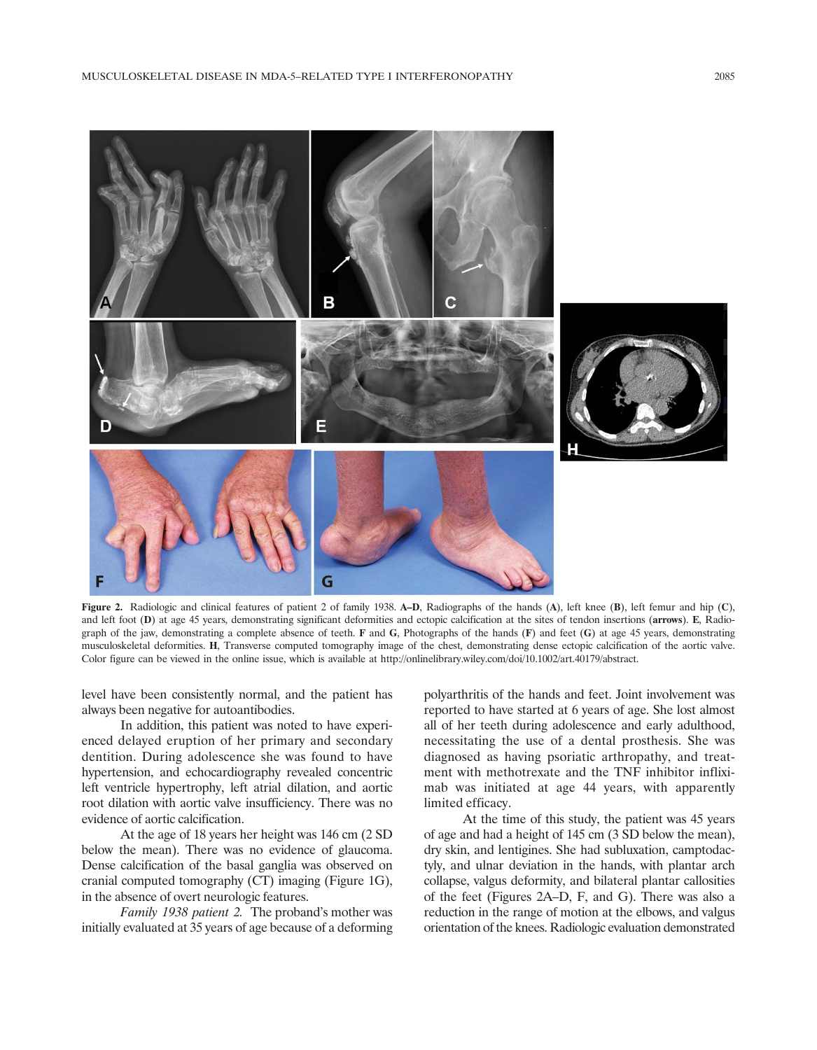

Figure 2. Radiologic and clinical features of patient 2 of family 1938. A-D, Radiographs of the hands (A), left knee (B), left femur and hip (C), and left foot (D) at age 45 years, demonstrating significant deformities and ectopic calcification at the sites of tendon insertions (arrows). E, Radiograph of the jaw, demonstrating a complete absence of teeth. F and G, Photographs of the hands  $(F)$  and feet  $(G)$  at age 45 years, demonstrating musculoskeletal deformities. H, Transverse computed tomography image of the chest, demonstrating dense ectopic calcification of the aortic valve. Color figure can be viewed in the online issue, which is available at [http://onlinelibrary.wiley.com/doi/10.1002/art.40179/abstract.](http://onlinelibrary.wiley.com/doi/10.1002/art.40179/abstract)

level have been consistently normal, and the patient has always been negative for autoantibodies.

In addition, this patient was noted to have experienced delayed eruption of her primary and secondary dentition. During adolescence she was found to have hypertension, and echocardiography revealed concentric left ventricle hypertrophy, left atrial dilation, and aortic root dilation with aortic valve insufficiency. There was no evidence of aortic calcification.

At the age of 18 years her height was 146 cm (2 SD below the mean). There was no evidence of glaucoma. Dense calcification of the basal ganglia was observed on cranial computed tomography (CT) imaging (Figure 1G), in the absence of overt neurologic features.

Family 1938 patient 2. The proband's mother was initially evaluated at 35 years of age because of a deforming polyarthritis of the hands and feet. Joint involvement was reported to have started at 6 years of age. She lost almost all of her teeth during adolescence and early adulthood, necessitating the use of a dental prosthesis. She was diagnosed as having psoriatic arthropathy, and treatment with methotrexate and the TNF inhibitor infliximab was initiated at age 44 years, with apparently limited efficacy.

At the time of this study, the patient was 45 years of age and had a height of 145 cm (3 SD below the mean), dry skin, and lentigines. She had subluxation, camptodactyly, and ulnar deviation in the hands, with plantar arch collapse, valgus deformity, and bilateral plantar callosities of the feet (Figures 2A–D, F, and G). There was also a reduction in the range of motion at the elbows, and valgus orientation of the knees. Radiologic evaluation demonstrated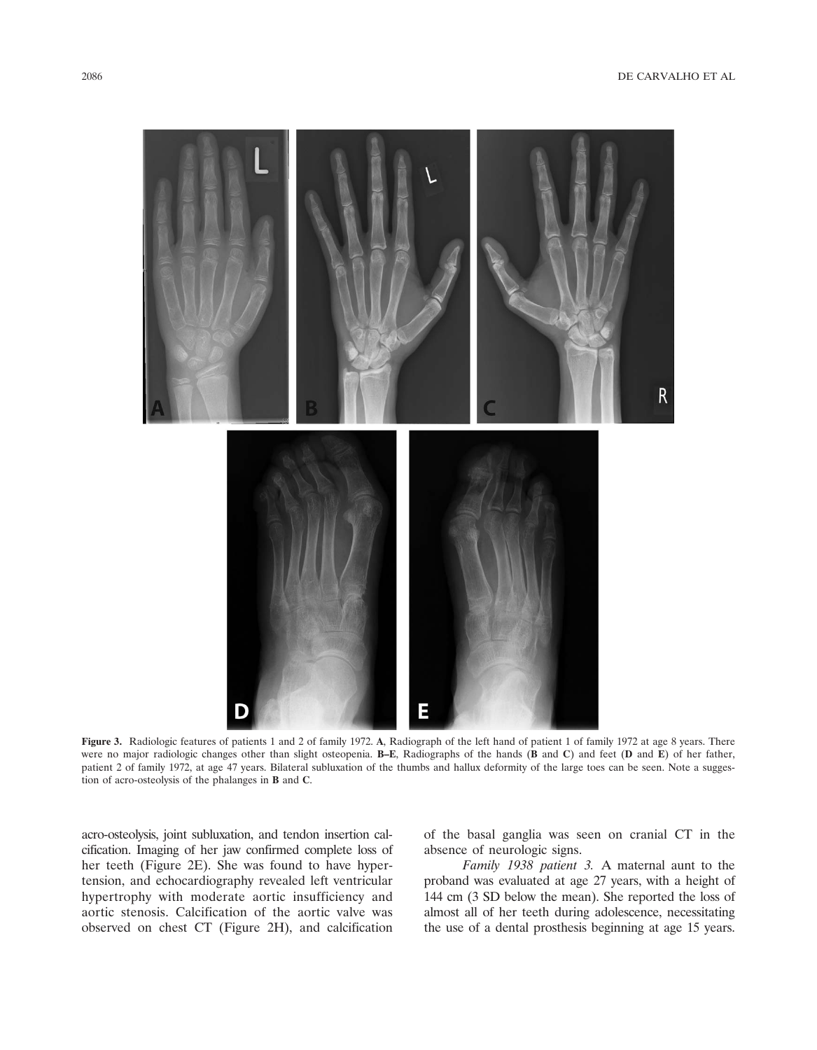

Figure 3. Radiologic features of patients 1 and 2 of family 1972. A, Radiograph of the left hand of patient 1 of family 1972 at age 8 years. There were no major radiologic changes other than slight osteopenia. B–E, Radiographs of the hands (B and C) and feet (D and E) of her father, patient 2 of family 1972, at age 47 years. Bilateral subluxation of the thumbs and hallux deformity of the large toes can be seen. Note a suggestion of acro-osteolysis of the phalanges in B and C.

acro-osteolysis, joint subluxation, and tendon insertion calcification. Imaging of her jaw confirmed complete loss of her teeth (Figure 2E). She was found to have hypertension, and echocardiography revealed left ventricular hypertrophy with moderate aortic insufficiency and aortic stenosis. Calcification of the aortic valve was observed on chest CT (Figure 2H), and calcification of the basal ganglia was seen on cranial CT in the absence of neurologic signs.

Family 1938 patient 3. A maternal aunt to the proband was evaluated at age 27 years, with a height of 144 cm (3 SD below the mean). She reported the loss of almost all of her teeth during adolescence, necessitating the use of a dental prosthesis beginning at age 15 years.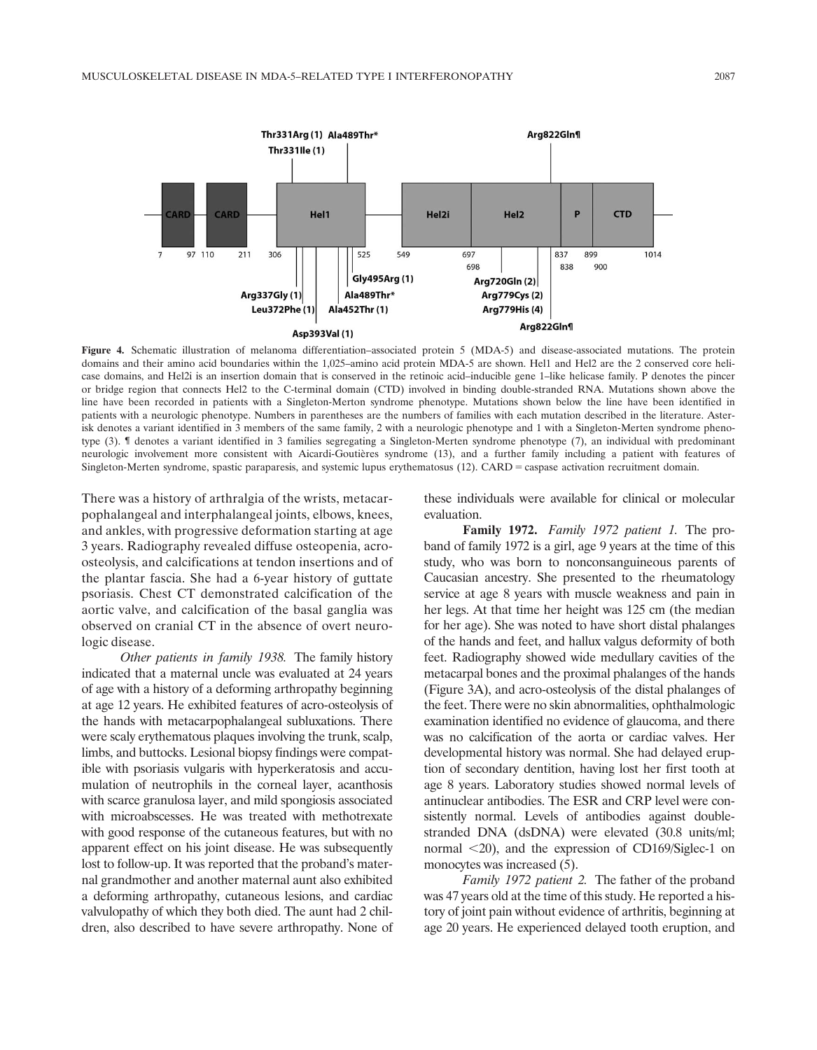

Figure 4. Schematic illustration of melanoma differentiation–associated protein 5 (MDA-5) and disease-associated mutations. The protein domains and their amino acid boundaries within the 1,025–amino acid protein MDA-5 are shown. Hel1 and Hel2 are the 2 conserved core helicase domains, and Hel2i is an insertion domain that is conserved in the retinoic acid–inducible gene 1–like helicase family. P denotes the pincer or bridge region that connects Hel2 to the C-terminal domain (CTD) involved in binding double-stranded RNA. Mutations shown above the line have been recorded in patients with a Singleton-Merton syndrome phenotype. Mutations shown below the line have been identified in patients with a neurologic phenotype. Numbers in parentheses are the numbers of families with each mutation described in the literature. Asterisk denotes a variant identified in 3 members of the same family, 2 with a neurologic phenotype and 1 with a Singleton-Merten syndrome phenotype (3). ¶ denotes a variant identified in 3 families segregating a Singleton-Merten syndrome phenotype (7), an individual with predominant neurologic involvement more consistent with Aicardi-Goutières syndrome (13), and a further family including a patient with features of Singleton-Merten syndrome, spastic paraparesis, and systemic lupus erythematosus (12). CARD = caspase activation recruitment domain.

There was a history of arthralgia of the wrists, metacarpophalangeal and interphalangeal joints, elbows, knees, and ankles, with progressive deformation starting at age 3 years. Radiography revealed diffuse osteopenia, acroosteolysis, and calcifications at tendon insertions and of the plantar fascia. She had a 6-year history of guttate psoriasis. Chest CT demonstrated calcification of the aortic valve, and calcification of the basal ganglia was observed on cranial CT in the absence of overt neurologic disease.

Other patients in family 1938. The family history indicated that a maternal uncle was evaluated at 24 years of age with a history of a deforming arthropathy beginning at age 12 years. He exhibited features of acro-osteolysis of the hands with metacarpophalangeal subluxations. There were scaly erythematous plaques involving the trunk, scalp, limbs, and buttocks. Lesional biopsy findings were compatible with psoriasis vulgaris with hyperkeratosis and accumulation of neutrophils in the corneal layer, acanthosis with scarce granulosa layer, and mild spongiosis associated with microabscesses. He was treated with methotrexate with good response of the cutaneous features, but with no apparent effect on his joint disease. He was subsequently lost to follow-up. It was reported that the proband's maternal grandmother and another maternal aunt also exhibited a deforming arthropathy, cutaneous lesions, and cardiac valvulopathy of which they both died. The aunt had 2 children, also described to have severe arthropathy. None of these individuals were available for clinical or molecular evaluation.

Family 1972. Family 1972 patient 1. The proband of family 1972 is a girl, age 9 years at the time of this study, who was born to nonconsanguineous parents of Caucasian ancestry. She presented to the rheumatology service at age 8 years with muscle weakness and pain in her legs. At that time her height was 125 cm (the median for her age). She was noted to have short distal phalanges of the hands and feet, and hallux valgus deformity of both feet. Radiography showed wide medullary cavities of the metacarpal bones and the proximal phalanges of the hands (Figure 3A), and acro-osteolysis of the distal phalanges of the feet. There were no skin abnormalities, ophthalmologic examination identified no evidence of glaucoma, and there was no calcification of the aorta or cardiac valves. Her developmental history was normal. She had delayed eruption of secondary dentition, having lost her first tooth at age 8 years. Laboratory studies showed normal levels of antinuclear antibodies. The ESR and CRP level were consistently normal. Levels of antibodies against doublestranded DNA (dsDNA) were elevated (30.8 units/ml; normal <20), and the expression of CD169/Siglec-1 on monocytes was increased (5).

Family 1972 patient 2. The father of the proband was 47 years old at the time of this study. He reported a history of joint pain without evidence of arthritis, beginning at age 20 years. He experienced delayed tooth eruption, and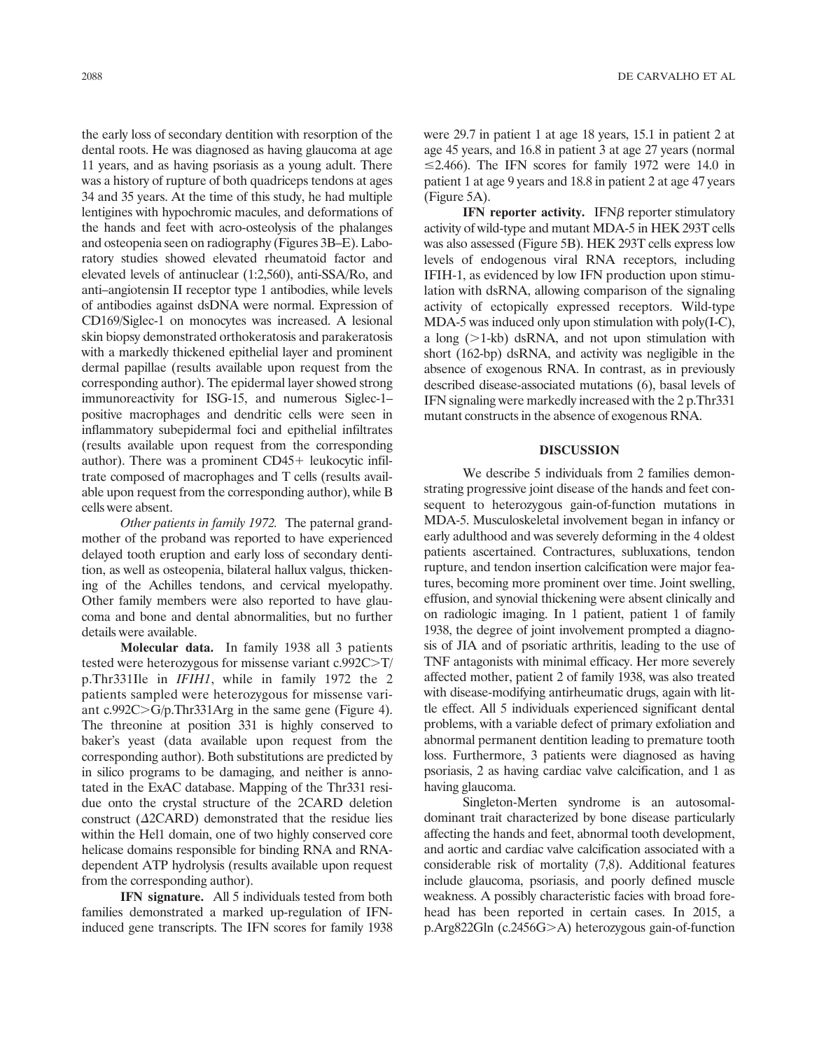the early loss of secondary dentition with resorption of the dental roots. He was diagnosed as having glaucoma at age 11 years, and as having psoriasis as a young adult. There was a history of rupture of both quadriceps tendons at ages 34 and 35 years. At the time of this study, he had multiple lentigines with hypochromic macules, and deformations of the hands and feet with acro-osteolysis of the phalanges and osteopenia seen on radiography (Figures 3B–E). Laboratory studies showed elevated rheumatoid factor and elevated levels of antinuclear (1:2,560), anti-SSA/Ro, and anti–angiotensin II receptor type 1 antibodies, while levels of antibodies against dsDNA were normal. Expression of CD169/Siglec-1 on monocytes was increased. A lesional skin biopsy demonstrated orthokeratosis and parakeratosis with a markedly thickened epithelial layer and prominent dermal papillae (results available upon request from the corresponding author). The epidermal layer showed strong immunoreactivity for ISG-15, and numerous Siglec-1– positive macrophages and dendritic cells were seen in inflammatory subepidermal foci and epithelial infiltrates (results available upon request from the corresponding author). There was a prominent  $CD45+$  leukocytic infiltrate composed of macrophages and T cells (results available upon request from the corresponding author), while B cells were absent.

Other patients in family 1972. The paternal grandmother of the proband was reported to have experienced delayed tooth eruption and early loss of secondary dentition, as well as osteopenia, bilateral hallux valgus, thickening of the Achilles tendons, and cervical myelopathy. Other family members were also reported to have glaucoma and bone and dental abnormalities, but no further details were available.

Molecular data. In family 1938 all 3 patients tested were heterozygous for missense variant c.992C>T/ p.Thr331Ile in IFIH1, while in family 1972 the 2 patients sampled were heterozygous for missense variant c.992C $>$ G/p.Thr331Arg in the same gene (Figure 4). The threonine at position 331 is highly conserved to baker's yeast (data available upon request from the corresponding author). Both substitutions are predicted by in silico programs to be damaging, and neither is annotated in the ExAC database. Mapping of the Thr331 residue onto the crystal structure of the 2CARD deletion construct  $(\triangle 2CARD)$  demonstrated that the residue lies within the Hel1 domain, one of two highly conserved core helicase domains responsible for binding RNA and RNAdependent ATP hydrolysis (results available upon request from the corresponding author).

IFN signature. All 5 individuals tested from both families demonstrated a marked up-regulation of IFNinduced gene transcripts. The IFN scores for family 1938 were 29.7 in patient 1 at age 18 years, 15.1 in patient 2 at age 45 years, and 16.8 in patient 3 at age 27 years (normal  $\leq$ 2.466). The IFN scores for family 1972 were 14.0 in patient 1 at age 9 years and 18.8 in patient 2 at age 47 years (Figure 5A).

IFN reporter activity. IFN $\beta$  reporter stimulatory activity of wild-type and mutant MDA-5 in HEK 293T cells was also assessed (Figure 5B). HEK 293T cells express low levels of endogenous viral RNA receptors, including IFIH-1, as evidenced by low IFN production upon stimulation with dsRNA, allowing comparison of the signaling activity of ectopically expressed receptors. Wild-type MDA-5 was induced only upon stimulation with poly(I-C), a long  $(>1-kb)$  dsRNA, and not upon stimulation with short (162-bp) dsRNA, and activity was negligible in the absence of exogenous RNA. In contrast, as in previously described disease-associated mutations (6), basal levels of IFN signaling were markedly increased with the 2 p.Thr331 mutant constructs in the absence of exogenous RNA.

#### DISCUSSION

We describe 5 individuals from 2 families demonstrating progressive joint disease of the hands and feet consequent to heterozygous gain-of-function mutations in MDA-5. Musculoskeletal involvement began in infancy or early adulthood and was severely deforming in the 4 oldest patients ascertained. Contractures, subluxations, tendon rupture, and tendon insertion calcification were major features, becoming more prominent over time. Joint swelling, effusion, and synovial thickening were absent clinically and on radiologic imaging. In 1 patient, patient 1 of family 1938, the degree of joint involvement prompted a diagnosis of JIA and of psoriatic arthritis, leading to the use of TNF antagonists with minimal efficacy. Her more severely affected mother, patient 2 of family 1938, was also treated with disease-modifying antirheumatic drugs, again with little effect. All 5 individuals experienced significant dental problems, with a variable defect of primary exfoliation and abnormal permanent dentition leading to premature tooth loss. Furthermore, 3 patients were diagnosed as having psoriasis, 2 as having cardiac valve calcification, and 1 as having glaucoma.

Singleton-Merten syndrome is an autosomaldominant trait characterized by bone disease particularly affecting the hands and feet, abnormal tooth development, and aortic and cardiac valve calcification associated with a considerable risk of mortality (7,8). Additional features include glaucoma, psoriasis, and poorly defined muscle weakness. A possibly characteristic facies with broad forehead has been reported in certain cases. In 2015, a p.Arg822Gln (c.2456G>A) heterozygous gain-of-function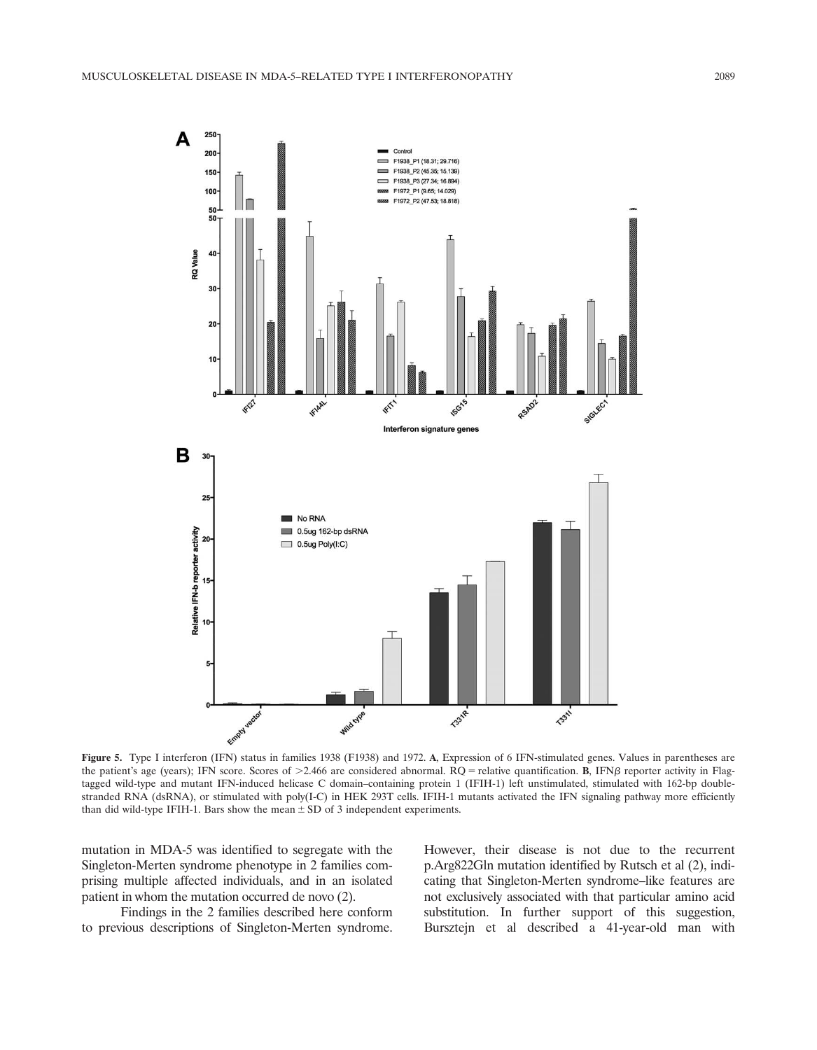

Figure 5. Type I interferon (IFN) status in families 1938 (F1938) and 1972. A, Expression of 6 IFN-stimulated genes. Values in parentheses are the patient's age (years); IFN score. Scores of  $>2.466$  are considered abnormal. RQ = relative quantification. B, IFN $\beta$  reporter activity in Flagtagged wild-type and mutant IFN-induced helicase C domain–containing protein 1 (IFIH-1) left unstimulated, stimulated with 162-bp doublestranded RNA (dsRNA), or stimulated with poly(I-C) in HEK 293T cells. IFIH-1 mutants activated the IFN signaling pathway more efficiently than did wild-type IFIH-1. Bars show the mean  $\pm$  SD of 3 independent experiments.

mutation in MDA-5 was identified to segregate with the Singleton-Merten syndrome phenotype in 2 families comprising multiple affected individuals, and in an isolated patient in whom the mutation occurred de novo (2).

Findings in the 2 families described here conform to previous descriptions of Singleton-Merten syndrome.

However, their disease is not due to the recurrent p.Arg822Gln mutation identified by Rutsch et al (2), indicating that Singleton-Merten syndrome–like features are not exclusively associated with that particular amino acid substitution. In further support of this suggestion, Bursztejn et al described a 41-year-old man with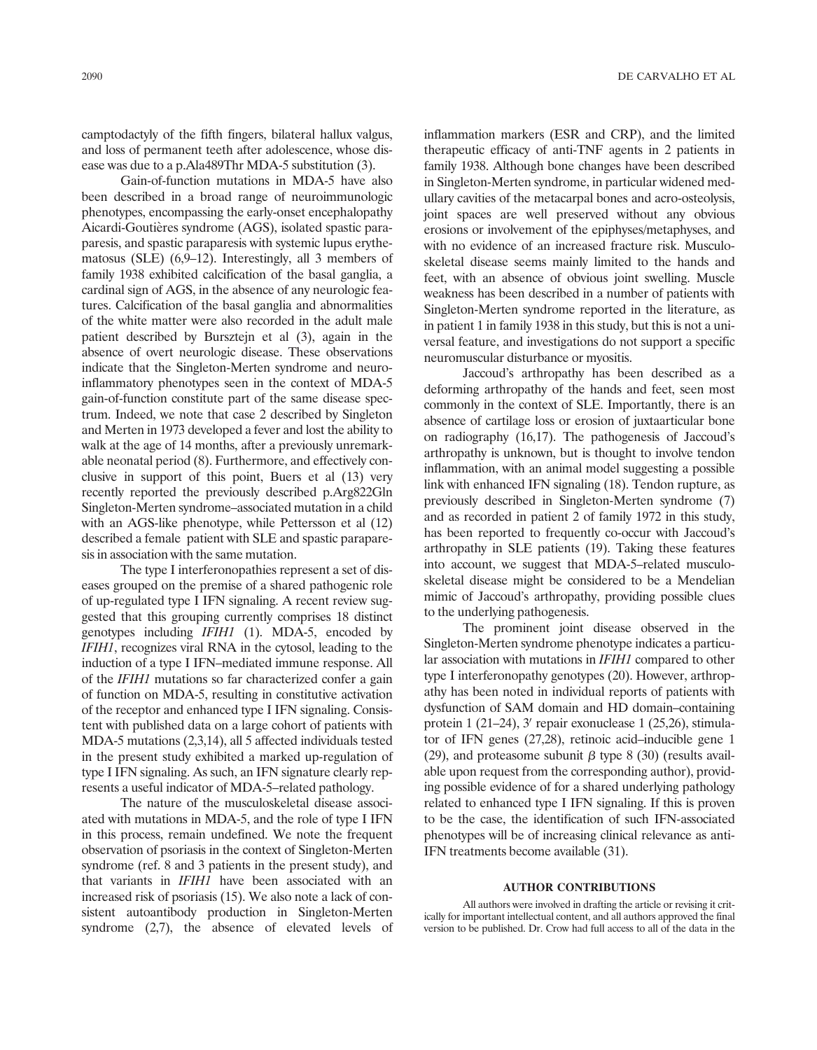camptodactyly of the fifth fingers, bilateral hallux valgus, and loss of permanent teeth after adolescence, whose disease was due to a p.Ala489Thr MDA-5 substitution (3).

Gain-of-function mutations in MDA-5 have also been described in a broad range of neuroimmunologic phenotypes, encompassing the early-onset encephalopathy Aicardi-Goutières syndrome (AGS), isolated spastic paraparesis, and spastic paraparesis with systemic lupus erythematosus (SLE) (6,9–12). Interestingly, all 3 members of family 1938 exhibited calcification of the basal ganglia, a cardinal sign of AGS, in the absence of any neurologic features. Calcification of the basal ganglia and abnormalities of the white matter were also recorded in the adult male patient described by Bursztejn et al (3), again in the absence of overt neurologic disease. These observations indicate that the Singleton-Merten syndrome and neuroinflammatory phenotypes seen in the context of MDA-5 gain-of-function constitute part of the same disease spectrum. Indeed, we note that case 2 described by Singleton and Merten in 1973 developed a fever and lost the ability to walk at the age of 14 months, after a previously unremarkable neonatal period (8). Furthermore, and effectively conclusive in support of this point, Buers et al (13) very recently reported the previously described p.Arg822Gln Singleton-Merten syndrome–associated mutation in a child with an AGS-like phenotype, while Pettersson et al (12) described a female patient with SLE and spastic paraparesis in association with the same mutation.

The type I interferonopathies represent a set of diseases grouped on the premise of a shared pathogenic role of up-regulated type I IFN signaling. A recent review suggested that this grouping currently comprises 18 distinct genotypes including IFIH1 (1). MDA-5, encoded by IFIH1, recognizes viral RNA in the cytosol, leading to the induction of a type I IFN–mediated immune response. All of the IFIH1 mutations so far characterized confer a gain of function on MDA-5, resulting in constitutive activation of the receptor and enhanced type I IFN signaling. Consistent with published data on a large cohort of patients with MDA-5 mutations (2,3,14), all 5 affected individuals tested in the present study exhibited a marked up-regulation of type I IFN signaling. As such, an IFN signature clearly represents a useful indicator of MDA-5–related pathology.

The nature of the musculoskeletal disease associated with mutations in MDA-5, and the role of type I IFN in this process, remain undefined. We note the frequent observation of psoriasis in the context of Singleton-Merten syndrome (ref. 8 and 3 patients in the present study), and that variants in IFIH1 have been associated with an increased risk of psoriasis (15). We also note a lack of consistent autoantibody production in Singleton-Merten syndrome (2,7), the absence of elevated levels of

inflammation markers (ESR and CRP), and the limited therapeutic efficacy of anti-TNF agents in 2 patients in family 1938. Although bone changes have been described in Singleton-Merten syndrome, in particular widened medullary cavities of the metacarpal bones and acro-osteolysis, joint spaces are well preserved without any obvious erosions or involvement of the epiphyses/metaphyses, and with no evidence of an increased fracture risk. Musculoskeletal disease seems mainly limited to the hands and feet, with an absence of obvious joint swelling. Muscle weakness has been described in a number of patients with Singleton-Merten syndrome reported in the literature, as in patient 1 in family 1938 in this study, but this is not a universal feature, and investigations do not support a specific neuromuscular disturbance or myositis.

Jaccoud's arthropathy has been described as a deforming arthropathy of the hands and feet, seen most commonly in the context of SLE. Importantly, there is an absence of cartilage loss or erosion of juxtaarticular bone on radiography (16,17). The pathogenesis of Jaccoud's arthropathy is unknown, but is thought to involve tendon inflammation, with an animal model suggesting a possible link with enhanced IFN signaling (18). Tendon rupture, as previously described in Singleton-Merten syndrome (7) and as recorded in patient 2 of family 1972 in this study, has been reported to frequently co-occur with Jaccoud's arthropathy in SLE patients (19). Taking these features into account, we suggest that MDA-5–related musculoskeletal disease might be considered to be a Mendelian mimic of Jaccoud's arthropathy, providing possible clues to the underlying pathogenesis.

The prominent joint disease observed in the Singleton-Merten syndrome phenotype indicates a particular association with mutations in IFIH1 compared to other type I interferonopathy genotypes (20). However, arthropathy has been noted in individual reports of patients with dysfunction of SAM domain and HD domain–containing protein 1 (21–24), 3' repair exonuclease 1 (25,26), stimulator of IFN genes (27,28), retinoic acid–inducible gene 1 (29), and proteasome subunit  $\beta$  type 8 (30) (results available upon request from the corresponding author), providing possible evidence of for a shared underlying pathology related to enhanced type I IFN signaling. If this is proven to be the case, the identification of such IFN-associated phenotypes will be of increasing clinical relevance as anti-IFN treatments become available (31).

#### AUTHOR CONTRIBUTIONS

All authors were involved in drafting the article or revising it critically for important intellectual content, and all authors approved the final version to be published. Dr. Crow had full access to all of the data in the